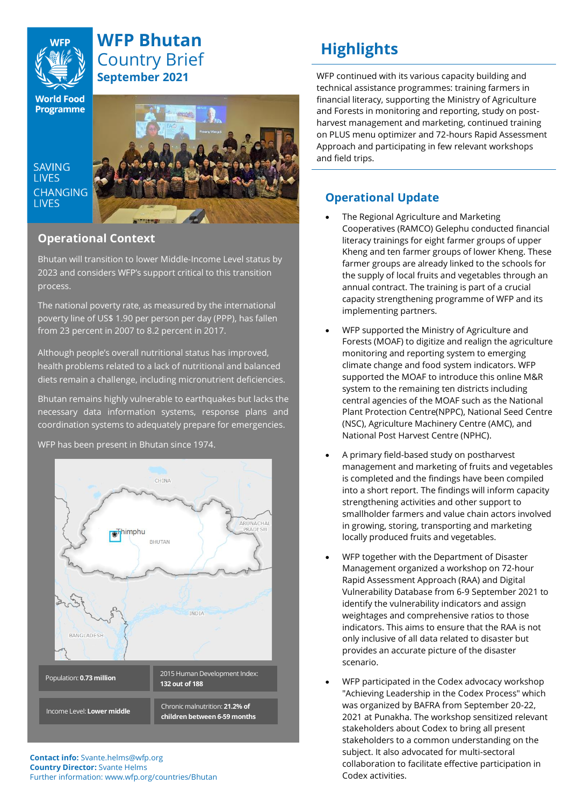

## **WFP Bhutan** Country Brief **September 2021**

**World Food Programme** 

**SAVING LIVES CHANGING LIVES** 



## **Operational Context**

Bhutan will transition to lower Middle-Income Level status by 2023 and considers WFP's support critical to this transition process.

The national poverty rate, as measured by the international poverty line of US\$ 1.90 per person per day (PPP), has fallen from 23 percent in 2007 to 8.2 percent in 2017.

Although people's overall nutritional status has improved, health problems related to a lack of nutritional and balanced diets remain a challenge, including micronutrient deficiencies.

Bhutan remains highly vulnerable to earthquakes but lacks the necessary data information systems, response plans and coordination systems to adequately prepare for emergencies.



WFP has been present in Bhutan since 1974.

#### **Contact info:** Svante.helms@wfp.org **Country Director:** Svante Helms Further information: www.wfp.org/countries/Bhutan

# **Highlights**

WFP continued with its various capacity building and technical assistance programmes: training farmers in financial literacy, supporting the Ministry of Agriculture and Forests in monitoring and reporting, study on postharvest management and marketing, continued training on PLUS menu optimizer and 72-hours Rapid Assessment Approach and participating in few relevant workshops and field trips.

## **Operational Update**

- The Regional Agriculture and Marketing Cooperatives (RAMCO) Gelephu conducted financial literacy trainings for eight farmer groups of upper Kheng and ten farmer groups of lower Kheng. These farmer groups are already linked to the schools for the supply of local fruits and vegetables through an annual contract. The training is part of a crucial capacity strengthening programme of WFP and its implementing partners.
- WFP supported the Ministry of Agriculture and Forests (MOAF) to digitize and realign the agriculture monitoring and reporting system to emerging climate change and food system indicators. WFP supported the MOAF to introduce this online M&R system to the remaining ten districts including central agencies of the MOAF such as the National Plant Protection Centre(NPPC), National Seed Centre (NSC), Agriculture Machinery Centre (AMC), and National Post Harvest Centre (NPHC).
- A primary field-based study on postharvest management and marketing of fruits and vegetables is completed and the findings have been compiled into a short report. The findings will inform capacity strengthening activities and other support to smallholder farmers and value chain actors involved in growing, storing, transporting and marketing locally produced fruits and vegetables.
- WFP together with the Department of Disaster Management organized a workshop on 72-hour Rapid Assessment Approach (RAA) and Digital Vulnerability Database from 6-9 September 2021 to identify the vulnerability indicators and assign weightages and comprehensive ratios to those indicators. This aims to ensure that the RAA is not only inclusive of all data related to disaster but provides an accurate picture of the disaster scenario.
- WFP participated in the Codex advocacy workshop "Achieving Leadership in the Codex Process" which was organized by BAFRA from September 20-22, 2021 at Punakha. The workshop sensitized relevant stakeholders about Codex to bring all present stakeholders to a common understanding on the subject. It also advocated for multi-sectoral collaboration to facilitate effective participation in Codex activities.